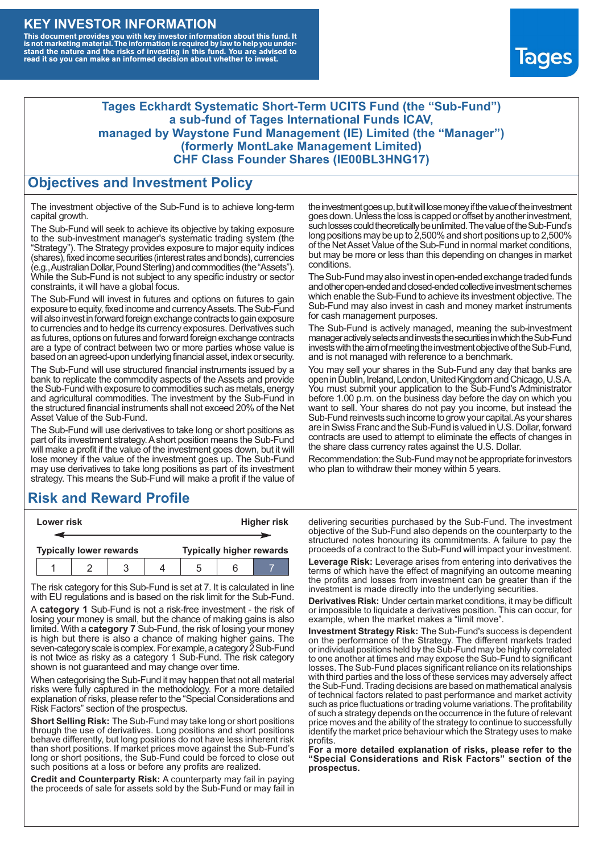#### **KEY INVESTOR INFORMATION**

This document provides you with key investor information about this fund. It<br>is not marketing material. The information is required by law to help you under-<br>stand the nature and the risks of investing in this fund. You ar



#### **Tages Eckhardt Systematic Short-Term UCITS Fund (the "Sub-Fund") a sub-fund of Tages International Funds ICAV, managed by Waystone Fund Management (IE) Limited (the "Manager") (formerly MontLake Management Limited) CHF Class Founder Shares (IE00BL3HNG17)**

#### **Objectives and Investment Policy**

The investment objective of the Sub-Fund is to achieve long-term capital growth.

The Sub-Fund will seek to achieve its objective by taking exposure to the sub-investment manager's systematic trading system (the "Strategy"). The Strategy provides exposure to major equity indices (shares),fixed income securities (interest rates and bonds), currencies (e.g.,AustralianDollar,PoundSterling)and commodities (the "Assets"). While the Sub-Fund is not subject to any specific industry or sector constraints, it will have a global focus.

The Sub-Fund will invest in futures and options on futures to gain exposure to equity, fixed income and currency Assets. The Sub-Fund will also invest in forward foreign exchange contracts to gain exposure to currencies and to hedge its currency exposures. Derivatives such as futures, options on futures and forward foreign exchange contracts are a type of contract between two or more parties whose value is based on an agreed-upon underlying financial asset, index or security.

The Sub-Fund will use structured financial instruments issued by a bank to replicate the commodity aspects of the Assets and provide the Sub-Fund with exposure to commodities such as metals, energy and agricultural commodities. The investment by the Sub-Fund in the structured financial instruments shall not exceed 20% of the Net Asset Value of the Sub-Fund.

The Sub-Fund will use derivatives to take long or short positions as part of its investment strategy.A short position means the Sub-Fund will make a profit if the value of the investment goes down, but it will lose money if the value of the investment goes up. The Sub-Fund may use derivatives to take long positions as part of its investment strategy. This means the Sub-Fund will make a profit if the value of

# **Risk and Reward Profile**

| Lower risk                     |  |  |  | <b>Higher risk</b> |  |                                 |
|--------------------------------|--|--|--|--------------------|--|---------------------------------|
|                                |  |  |  |                    |  |                                 |
| <b>Typically lower rewards</b> |  |  |  |                    |  | <b>Typically higher rewards</b> |
|                                |  |  |  | .5                 |  |                                 |

The risk category for this Sub-Fund is set at 7. It is calculated in line with EU regulations and is based on the risk limit for the Sub-Fund.

A **category 1** Sub-Fund is not a risk-free investment - the risk of losing your money is small, but the chance of making gains is also limited. With a **category 7** Sub-Fund, the risk of losing your money is high but there is also a chance of making higher gains. The seven-category scale is complex. For example, a category 2 Sub-Fund is not twice as risky as a category 1 Sub-Fund. The risk category shown is not guaranteed and may change over time.

When categorising the Sub-Fund it may happen that not all material risks were fully captured in the methodology. For a more detailed explanation of risks, please refer to the "Special Considerations and Risk Factors" section of the prospectus.

**Short Selling Risk:** The Sub-Fund may take long or short positions through the use of derivatives. Long positions and short positions behave differently, but long positions do not have less inherent risk than short positions. If market prices move against the Sub-Fund's long or short positions, the Sub-Fund could be forced to close out such positions at a loss or before any profits are realized.

**Credit and Counterparty Risk:** A counterparty may fail in paying the proceeds of sale for assets sold by the Sub-Fund or may fail in the investment goes up, but it will lose money if the value of the investment goes down. Unlessthe loss is capped or offset by another investment, such losses could theoretically be unlimited. The value of the Sub-Fund's long positions may be up to  $2,500\%$  and short positions up to  $2,500\%$ of the NetAsset Value of the Sub-Fund in normal market conditions, but may be more or less than this depending on changes in market conditions.

The Sub-Fund may also invest in open-ended exchange traded funds and other open-ended and closed-ended collective investment schemes which enable the Sub-Fund to achieve its investment objective. The Sub-Fund may also invest in cash and money market instruments for cash management purposes.

The Sub-Fund is actively managed, meaning the sub-investment manager actively selects and invests the securities in which the Sub-Fund invests with the aim of meeting the investment objective of the Sub-Fund, and is not managed with reference to a benchmark.

You may sell your shares in the Sub-Fund any day that banks are open in Dublin, Ireland, London, United Kingdom and Chicago, U.S.A. You must submit your application to the Sub-Fund's Administrator before 1.00 p.m. on the business day before the day on which you want to sell. Your shares do not pay you income, but instead the Sub-Fund reinvests such income to grow your capital. As your shares are in Swiss Franc and the Sub-Fund is valued in U.S. Dollar, forward contracts are used to attempt to eliminate the effects of changes in the share class currency rates against the U.S. Dollar.

Recommendation: the Sub-Fund may not be appropriate for investors who plan to withdraw their money within 5 years.

delivering securities purchased by the Sub-Fund. The investment objective of the Sub-Fund also depends on the counterparty to the structured notes honouring its commitments. A failure to pay the proceeds of a contract to the Sub-Fund will impact your investment.

**Leverage Risk:** Leverage arises from entering into derivatives the terms of which have the effect of magnifying an outcome meaning the profits and losses from investment can be greater than if the investment is made directly into the underlying securities.

**Derivatives Risk:** Under certain market conditions, it may be difficult or impossible to liquidate a derivatives position. This can occur, for example, when the market makes a "limit move".

**Investment Strategy Risk:** The Sub-Fund's success is dependent on the performance of the Strategy. The different markets traded or individual positions held by the Sub-Fund may be highly correlated to one another at times and may expose the Sub-Fund to significant losses. The Sub-Fund places significant reliance on its relationships with third parties and the loss of these services may adversely affect the Sub-Fund. Trading decisions are based on mathematical analysis of technical factors related to past performance and market activity such as price fluctuations or trading volume variations. The profitability of such a strategy depends on the occurrence in the future of relevant price moves and the ability of the strategy to continue to successfully identify the market price behaviour which the Strategy uses to make profits.

**For a more detailed explanation of risks, please refer to the "Special Considerations and Risk Factors" section of the prospectus.**